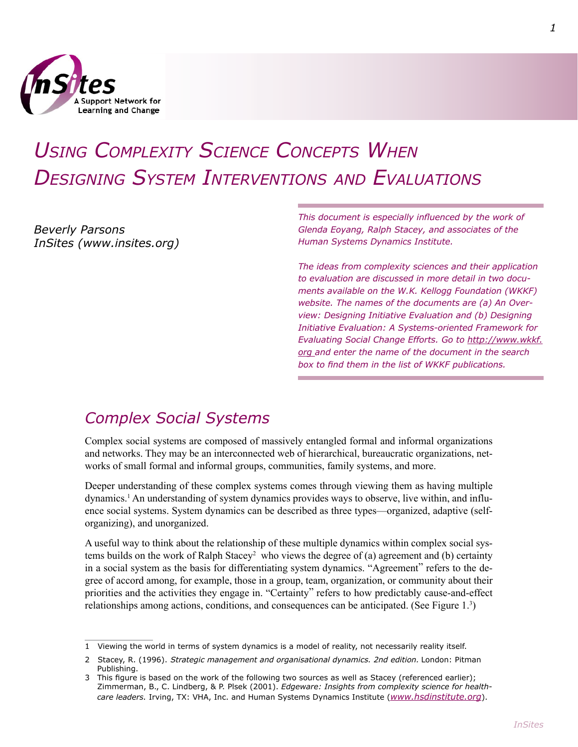

# *Using Complexity Science Concepts When Designing System Interventions and Evaluations*

*Beverly Parsons InSites (www.insites.org)* *This document is especially influenced by the work of Glenda Eoyang, Ralph Stacey, and associates of the Human Systems Dynamics Institute.*

*The ideas from complexity sciences and their application to evaluation are discussed in more detail in two documents available on the W.K. Kellogg Foundation (WKKF) website. The names of the documents are (a) An Overview: Designing Initiative Evaluation and (b) Designing Initiative Evaluation: A Systems-oriented Framework for Evaluating Social Change Efforts. Go to http://www.wkkf. org and enter the name of the document in the search box to find them in the list of WKKF publications.*

# *Complex Social Systems*

Complex social systems are composed of massively entangled formal and informal organizations and networks. They may be an interconnected web of hierarchical, bureaucratic organizations, networks of small formal and informal groups, communities, family systems, and more.

Deeper understanding of these complex systems comes through viewing them as having multiple dynamics.<sup>1</sup> An understanding of system dynamics provides ways to observe, live within, and influence social systems. System dynamics can be described as three types—organized, adaptive (selforganizing), and unorganized.

A useful way to think about the relationship of these multiple dynamics within complex social systems builds on the work of Ralph Stacey who views the degree of (a) agreement and (b) certainty in a social system as the basis for differentiating system dynamics. "Agreement" refers to the degree of accord among, for example, those in a group, team, organization, or community about their priorities and the activities they engage in. "Certainty" refers to how predictably cause-and-effect relationships among actions, conditions, and consequences can be anticipated. (See Figure 1.<sup>3</sup>)

<sup>1</sup> Viewing the world in terms of system dynamics is a model of reality, not necessarily reality itself.

<sup>2</sup> Stacey, R. (1996). Strategic management and organisational dynamics. 2nd edition. London: Pitman Publishing.

<sup>3</sup> This figure is based on the work of the following two sources as well as Stacey (referenced earlier); Zimmerman, B., C. Lindberg, & P. Plsek (2001). *Edgeware: Insights from complexity science for healthcare leaders.* Irving, TX: VHA, Inc. and Human Systems Dynamics Institute (*www.hsdinstitute.org*).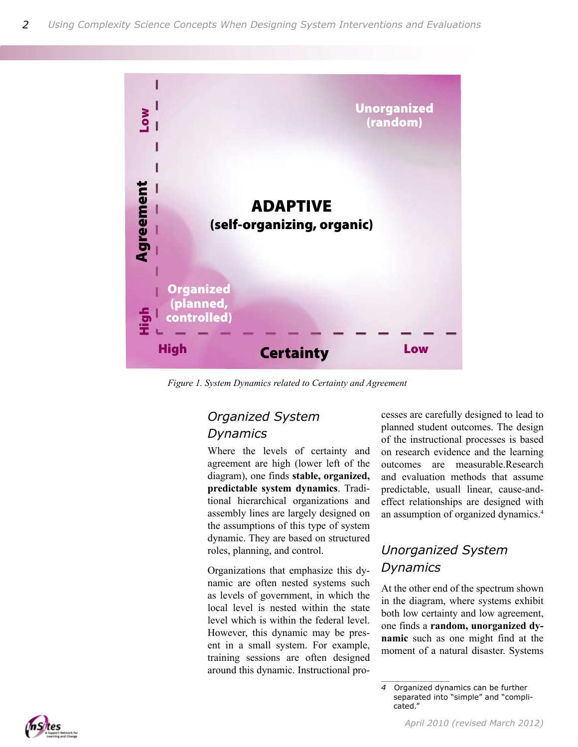

*Figure 1. System Dynamics related to Certainty and Agreement*

#### *Organized System Dynamics*

Where the levels of certainty and agreement are high (lower left of the diagram), one finds **stable, organized, predictable system dynamics**. Traditional hierarchical organizations and assembly lines are largely designed on the assumptions of this type of system dynamic. They are based on structured roles, planning, and control.

Organizations that emphasize this dynamic are often nested systems such as levels of government, in which the local level is nested within the state level which is within the federal level. However, this dynamic may be present in a small system. For example, training sessions are often designed around this dynamic. Instructional processes are carefully designed to lead to planned student outcomes. The design of the instructional processes is based on research evidence and the learning outcomes are measurable.Research and evaluation methods that assume predictable, usuall linear, cause-andeffect relationships are designed with an assumption of organized dynamics.

### *Unorganized System Dynamics*

At the other end of the spectrum shown in the diagram, where systems exhibit both low certainty and low agreement, one finds a **random, unorganized dynamic** such as one might find at the moment of a natural disaster. Systems



<sup>4</sup> Organized dynamics can be further separated into "simple" and "complicated."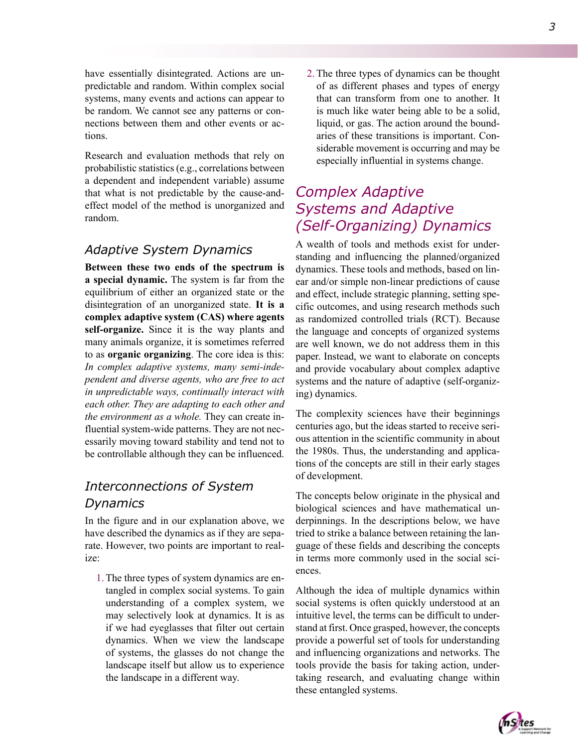3

have essentially disintegrated. Actions are unpredictable and random. Within complex social systems, many events and actions can appear to be random. We cannot see any patterns or connections between them and other events or actions.

Research and evaluation methods that rely on probabilistic statistics (e.g., correlations between a dependent and independent variable) assume that what is not predictable by the cause-andeffect model of the method is unorganized and random.

#### *Adaptive System Dynamics*

**Between these two ends of the spectrum is a special dynamic.** The system is far from the equilibrium of either an organized state or the disintegration of an unorganized state. **It is a complex adaptive system (CAS) where agents self-organize.** Since it is the way plants and many animals organize, it is sometimes referred to as **organic organizing**. The core idea is this: *In complex adaptive systems, many semi-independent and diverse agents, who are free to act in unpredictable ways, continually interact with each other. They are adapting to each other and the environment as a whole.* They can create influential system-wide patterns. They are not necessarily moving toward stability and tend not to be controllable although they can be influenced.

## *Interconnections of System Dynamics*

In the figure and in our explanation above, we have described the dynamics as if they are separate. However, two points are important to realize:

1. The three types of system dynamics are entangled in complex social systems. To gain understanding of a complex system, we may selectively look at dynamics. It is as if we had eyeglasses that filter out certain dynamics. When we view the landscape of systems, the glasses do not change the landscape itself but allow us to experience the landscape in a different way.

2. The three types of dynamics can be thought of as different phases and types of energy that can transform from one to another. It is much like water being able to be a solid, liquid, or gas. The action around the boundaries of these transitions is important. Considerable movement is occurring and may be especially influential in systems change.

## *Complex Adaptive Systems and Adaptive (Self-Organizing) Dynamics*

A wealth of tools and methods exist for understanding and influencing the planned/organized dynamics. These tools and methods, based on linear and/or simple non-linear predictions of cause and effect, include strategic planning, setting specific outcomes, and using research methods such as randomized controlled trials (RCT). Because the language and concepts of organized systems are well known, we do not address them in this paper. Instead, we want to elaborate on concepts and provide vocabulary about complex adaptive systems and the nature of adaptive (self-organizing) dynamics.

The complexity sciences have their beginnings centuries ago, but the ideas started to receive serious attention in the scientific community in about the 1980s. Thus, the understanding and applications of the concepts are still in their early stages of development.

The concepts below originate in the physical and biological sciences and have mathematical underpinnings. In the descriptions below, we have tried to strike a balance between retaining the language of these fields and describing the concepts in terms more commonly used in the social sciences.

Although the idea of multiple dynamics within social systems is often quickly understood at an intuitive level, the terms can be difficult to understand at first. Once grasped, however, the concepts provide a powerful set of tools for understanding and influencing organizations and networks. The tools provide the basis for taking action, undertaking research, and evaluating change within these entangled systems.

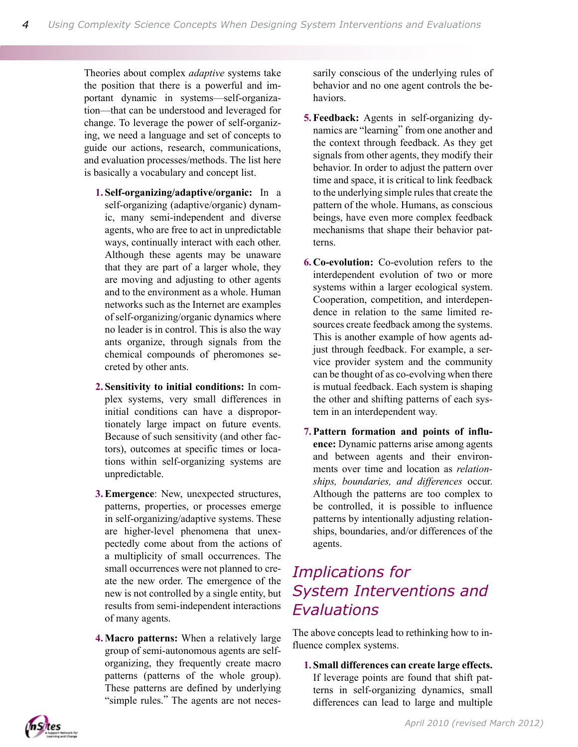Theories about complex *adaptive* systems take the position that there is a powerful and important dynamic in systems—self-organization—that can be understood and leveraged for change. To leverage the power of self-organizing, we need a language and set of concepts to guide our actions, research, communications, and evaluation processes/methods. The list here is basically a vocabulary and concept list.

- **Self-organizing/adaptive/organic:** In a **1.** self-organizing (adaptive/organic) dynamic, many semi-independent and diverse agents, who are free to act in unpredictable ways, continually interact with each other. Although these agents may be unaware that they are part of a larger whole, they are moving and adjusting to other agents and to the environment as a whole. Human networks such as the Internet are examples of self-organizing/organic dynamics where no leader is in control. This is also the way ants organize, through signals from the chemical compounds of pheromones secreted by other ants.
- **Sensitivity to initial conditions:** In com-**2.** plex systems, very small differences in initial conditions can have a disproportionately large impact on future events. Because of such sensitivity (and other factors), outcomes at specific times or locations within self-organizing systems are unpredictable.
- **Emergence**: New, unexpected structures, **3.** patterns, properties, or processes emerge in self-organizing/adaptive systems. These are higher-level phenomena that unexpectedly come about from the actions of a multiplicity of small occurrences. The small occurrences were not planned to create the new order. The emergence of the new is not controlled by a single entity, but results from semi-independent interactions of many agents.
- **Macro patterns:** When a relatively large **4.** group of semi-autonomous agents are selforganizing, they frequently create macro patterns (patterns of the whole group). These patterns are defined by underlying "simple rules." The agents are not neces-

sarily conscious of the underlying rules of behavior and no one agent controls the behaviors.

- **Feedback:** Agents in self-organizing dy-**5.** namics are "learning" from one another and the context through feedback. As they get signals from other agents, they modify their behavior. In order to adjust the pattern over time and space, it is critical to link feedback to the underlying simple rules that create the pattern of the whole. Humans, as conscious beings, have even more complex feedback mechanisms that shape their behavior patterns.
- **Co-evolution:** Co-evolution refers to the **6.** interdependent evolution of two or more systems within a larger ecological system. Cooperation, competition, and interdependence in relation to the same limited resources create feedback among the systems. This is another example of how agents adjust through feedback. For example, a service provider system and the community can be thought of as co-evolving when there is mutual feedback. Each system is shaping the other and shifting patterns of each system in an interdependent way.
- **Pattern formation and points of influ-7. ence:** Dynamic patterns arise among agents and between agents and their environments over time and location as *relationships, boundaries, and differences* occur. Although the patterns are too complex to be controlled, it is possible to influence patterns by intentionally adjusting relationships, boundaries, and/or differences of the agents.

# *Implications for System Interventions and Evaluations*

The above concepts lead to rethinking how to influence complex systems.

**Small differences can create large effects. 1.**If leverage points are found that shift patterns in self-organizing dynamics, small differences can lead to large and multiple

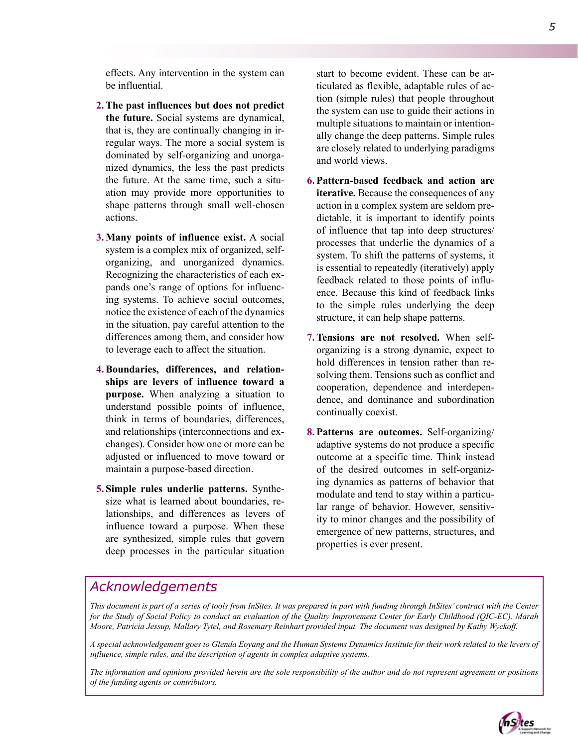effects. Any intervention in the system can be influential.

- **The past influences but does not predict 2. the future.** Social systems are dynamical, that is, they are continually changing in irregular ways. The more a social system is dominated by self-organizing and unorganized dynamics, the less the past predicts the future. At the same time, such a situation may provide more opportunities to shape patterns through small well-chosen actions.
- **Many points of influence exist.** A social **3.** system is a complex mix of organized, selforganizing, and unorganized dynamics. Recognizing the characteristics of each expands one's range of options for influencing systems. To achieve social outcomes, notice the existence of each of the dynamics in the situation, pay careful attention to the differences among them, and consider how to leverage each to affect the situation.
- **Boundaries, differences, and relation-4. ships are levers of influence toward a purpose.** When analyzing a situation to understand possible points of influence, think in terms of boundaries, differences, and relationships (interconnections and exchanges). Consider how one or more can be adjusted or influenced to move toward or maintain a purpose-based direction.
- **Simple rules underlie patterns.** Synthe-**5.** size what is learned about boundaries, relationships, and differences as levers of influence toward a purpose. When these are synthesized, simple rules that govern deep processes in the particular situation

start to become evident. These can be articulated as flexible, adaptable rules of action (simple rules) that people throughout the system can use to guide their actions in multiple situations to maintain or intentionally change the deep patterns. Simple rules are closely related to underlying paradigms and world views.

- **Pattern-based feedback and action are 6. iterative.** Because the consequences of any action in a complex system are seldom predictable, it is important to identify points of influence that tap into deep structures/ processes that underlie the dynamics of a system. To shift the patterns of systems, it is essential to repeatedly (iteratively) apply feedback related to those points of influence. Because this kind of feedback links to the simple rules underlying the deep structure, it can help shape patterns.
- 7. Tensions are not resolved. When selforganizing is a strong dynamic, expect to hold differences in tension rather than resolving them. Tensions such as conflict and cooperation, dependence and interdependence, and dominance and subordination continually coexist.
- **Patterns are outcomes.** Self-organizing/ **8.** adaptive systems do not produce a specific outcome at a specific time. Think instead of the desired outcomes in self-organizing dynamics as patterns of behavior that modulate and tend to stay within a particular range of behavior. However, sensitivity to minor changes and the possibility of emergence of new patterns, structures, and properties is ever present.

#### *Acknowledgements*

*This document is part of a series of tools from InSites. It was prepared in part with funding through InSites' contract with the Center for the Study of Social Policy to conduct an evaluation of the Quality Improvement Center for Early Childhood (QIC-EC). Marah Moore, Patricia Jessup, Mallary Tytel, and Rosemary Reinhart provided input. The document was designed by Kathy Wyckoff.*

*A special acknowledgement goes to Glenda Eoyang and the Human Systems Dynamics Institute for their work related to the levers of influence, simple rules, and the description of agents in complex adaptive systems.*

*The information and opinions provided herein are the sole responsibility of the author and do not represent agreement or positions of the funding agents or contributors.*